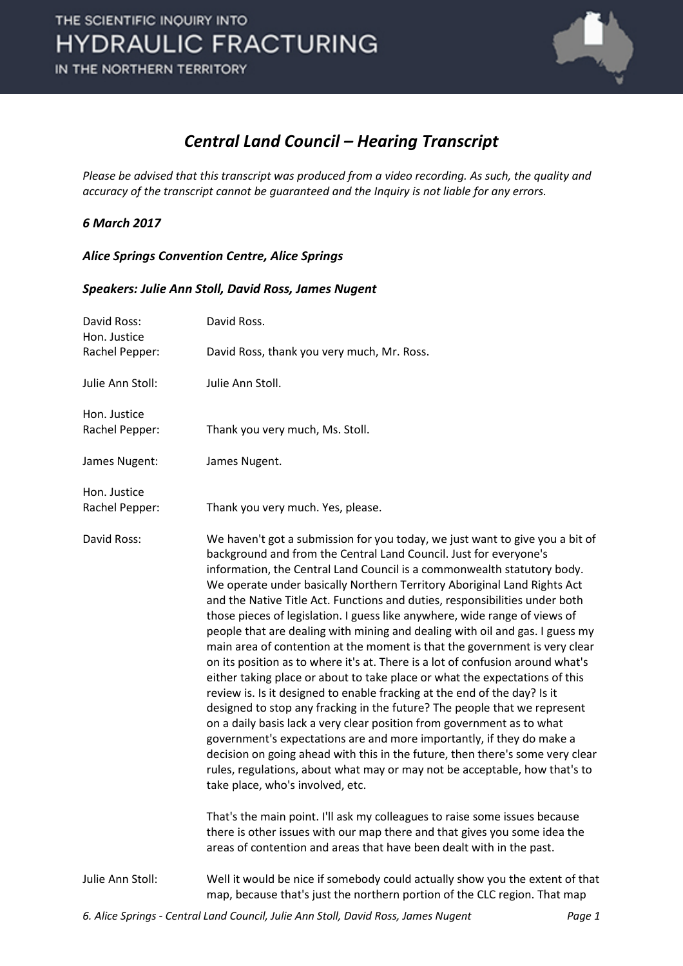

### *Central Land Council – Hearing Transcript*

*Please be advised that this transcript was produced from a video recording. As such, the quality and accuracy of the transcript cannot be guaranteed and the Inquiry is not liable for any errors.*

#### *6 March 2017*

#### *Alice Springs Convention Centre, Alice Springs*

#### *Speakers: Julie Ann Stoll, David Ross, James Nugent*

| David Ross:<br>Hon. Justice | David Ross.                                                                                                                                                                                                                                                                                                                                                                                                                                                                                                                                                                                                                                                                                                                                                                                                                                                                                                                                                                                                                                                                                                                                                                                                                                                                                                          |
|-----------------------------|----------------------------------------------------------------------------------------------------------------------------------------------------------------------------------------------------------------------------------------------------------------------------------------------------------------------------------------------------------------------------------------------------------------------------------------------------------------------------------------------------------------------------------------------------------------------------------------------------------------------------------------------------------------------------------------------------------------------------------------------------------------------------------------------------------------------------------------------------------------------------------------------------------------------------------------------------------------------------------------------------------------------------------------------------------------------------------------------------------------------------------------------------------------------------------------------------------------------------------------------------------------------------------------------------------------------|
| Rachel Pepper:              | David Ross, thank you very much, Mr. Ross.                                                                                                                                                                                                                                                                                                                                                                                                                                                                                                                                                                                                                                                                                                                                                                                                                                                                                                                                                                                                                                                                                                                                                                                                                                                                           |
| Julie Ann Stoll:            | Julie Ann Stoll.                                                                                                                                                                                                                                                                                                                                                                                                                                                                                                                                                                                                                                                                                                                                                                                                                                                                                                                                                                                                                                                                                                                                                                                                                                                                                                     |
| Hon. Justice                |                                                                                                                                                                                                                                                                                                                                                                                                                                                                                                                                                                                                                                                                                                                                                                                                                                                                                                                                                                                                                                                                                                                                                                                                                                                                                                                      |
| Rachel Pepper:              | Thank you very much, Ms. Stoll.                                                                                                                                                                                                                                                                                                                                                                                                                                                                                                                                                                                                                                                                                                                                                                                                                                                                                                                                                                                                                                                                                                                                                                                                                                                                                      |
| James Nugent:               | James Nugent.                                                                                                                                                                                                                                                                                                                                                                                                                                                                                                                                                                                                                                                                                                                                                                                                                                                                                                                                                                                                                                                                                                                                                                                                                                                                                                        |
| Hon. Justice                |                                                                                                                                                                                                                                                                                                                                                                                                                                                                                                                                                                                                                                                                                                                                                                                                                                                                                                                                                                                                                                                                                                                                                                                                                                                                                                                      |
| Rachel Pepper:              | Thank you very much. Yes, please.                                                                                                                                                                                                                                                                                                                                                                                                                                                                                                                                                                                                                                                                                                                                                                                                                                                                                                                                                                                                                                                                                                                                                                                                                                                                                    |
| David Ross:                 | We haven't got a submission for you today, we just want to give you a bit of<br>background and from the Central Land Council. Just for everyone's<br>information, the Central Land Council is a commonwealth statutory body.<br>We operate under basically Northern Territory Aboriginal Land Rights Act<br>and the Native Title Act. Functions and duties, responsibilities under both<br>those pieces of legislation. I guess like anywhere, wide range of views of<br>people that are dealing with mining and dealing with oil and gas. I guess my<br>main area of contention at the moment is that the government is very clear<br>on its position as to where it's at. There is a lot of confusion around what's<br>either taking place or about to take place or what the expectations of this<br>review is. Is it designed to enable fracking at the end of the day? Is it<br>designed to stop any fracking in the future? The people that we represent<br>on a daily basis lack a very clear position from government as to what<br>government's expectations are and more importantly, if they do make a<br>decision on going ahead with this in the future, then there's some very clear<br>rules, regulations, about what may or may not be acceptable, how that's to<br>take place, who's involved, etc. |
|                             | That's the main point. I'll ask my colleagues to raise some issues because<br>there is other issues with our map there and that gives you some idea the<br>areas of contention and areas that have been dealt with in the past.                                                                                                                                                                                                                                                                                                                                                                                                                                                                                                                                                                                                                                                                                                                                                                                                                                                                                                                                                                                                                                                                                      |
| Julie Ann Stoll:            | Well it would be nice if somebody could actually show you the extent of that<br>map, because that's just the northern portion of the CLC region. That map                                                                                                                                                                                                                                                                                                                                                                                                                                                                                                                                                                                                                                                                                                                                                                                                                                                                                                                                                                                                                                                                                                                                                            |
|                             |                                                                                                                                                                                                                                                                                                                                                                                                                                                                                                                                                                                                                                                                                                                                                                                                                                                                                                                                                                                                                                                                                                                                                                                                                                                                                                                      |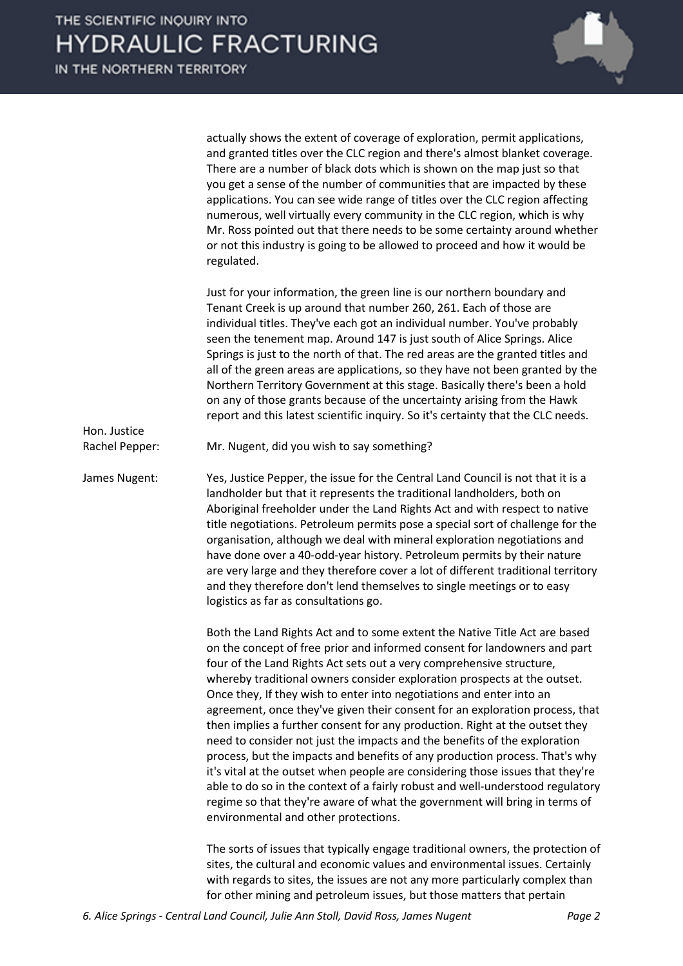

|                                | actually shows the extent of coverage of exploration, permit applications,<br>and granted titles over the CLC region and there's almost blanket coverage.<br>There are a number of black dots which is shown on the map just so that<br>you get a sense of the number of communities that are impacted by these<br>applications. You can see wide range of titles over the CLC region affecting<br>numerous, well virtually every community in the CLC region, which is why<br>Mr. Ross pointed out that there needs to be some certainty around whether<br>or not this industry is going to be allowed to proceed and how it would be<br>regulated.                                                                                                                                                                                                                                                                                                                                                     |
|--------------------------------|----------------------------------------------------------------------------------------------------------------------------------------------------------------------------------------------------------------------------------------------------------------------------------------------------------------------------------------------------------------------------------------------------------------------------------------------------------------------------------------------------------------------------------------------------------------------------------------------------------------------------------------------------------------------------------------------------------------------------------------------------------------------------------------------------------------------------------------------------------------------------------------------------------------------------------------------------------------------------------------------------------|
|                                | Just for your information, the green line is our northern boundary and<br>Tenant Creek is up around that number 260, 261. Each of those are<br>individual titles. They've each got an individual number. You've probably<br>seen the tenement map. Around 147 is just south of Alice Springs. Alice<br>Springs is just to the north of that. The red areas are the granted titles and<br>all of the green areas are applications, so they have not been granted by the<br>Northern Territory Government at this stage. Basically there's been a hold<br>on any of those grants because of the uncertainty arising from the Hawk<br>report and this latest scientific inquiry. So it's certainty that the CLC needs.                                                                                                                                                                                                                                                                                      |
| Hon. Justice<br>Rachel Pepper: | Mr. Nugent, did you wish to say something?                                                                                                                                                                                                                                                                                                                                                                                                                                                                                                                                                                                                                                                                                                                                                                                                                                                                                                                                                               |
| James Nugent:                  | Yes, Justice Pepper, the issue for the Central Land Council is not that it is a<br>landholder but that it represents the traditional landholders, both on<br>Aboriginal freeholder under the Land Rights Act and with respect to native<br>title negotiations. Petroleum permits pose a special sort of challenge for the<br>organisation, although we deal with mineral exploration negotiations and<br>have done over a 40-odd-year history. Petroleum permits by their nature<br>are very large and they therefore cover a lot of different traditional territory<br>and they therefore don't lend themselves to single meetings or to easy<br>logistics as far as consultations go.                                                                                                                                                                                                                                                                                                                  |
|                                | Both the Land Rights Act and to some extent the Native Title Act are based<br>on the concept of free prior and informed consent for landowners and part<br>four of the Land Rights Act sets out a very comprehensive structure,<br>whereby traditional owners consider exploration prospects at the outset.<br>Once they, If they wish to enter into negotiations and enter into an<br>agreement, once they've given their consent for an exploration process, that<br>then implies a further consent for any production. Right at the outset they<br>need to consider not just the impacts and the benefits of the exploration<br>process, but the impacts and benefits of any production process. That's why<br>it's vital at the outset when people are considering those issues that they're<br>able to do so in the context of a fairly robust and well-understood regulatory<br>regime so that they're aware of what the government will bring in terms of<br>environmental and other protections. |
|                                | The sorts of issues that typically engage traditional owners, the protection of                                                                                                                                                                                                                                                                                                                                                                                                                                                                                                                                                                                                                                                                                                                                                                                                                                                                                                                          |

sites, the cultural and economic values and environmental issues. Certainly with regards to sites, the issues are not any more particularly complex than for other mining and petroleum issues, but those matters that pertain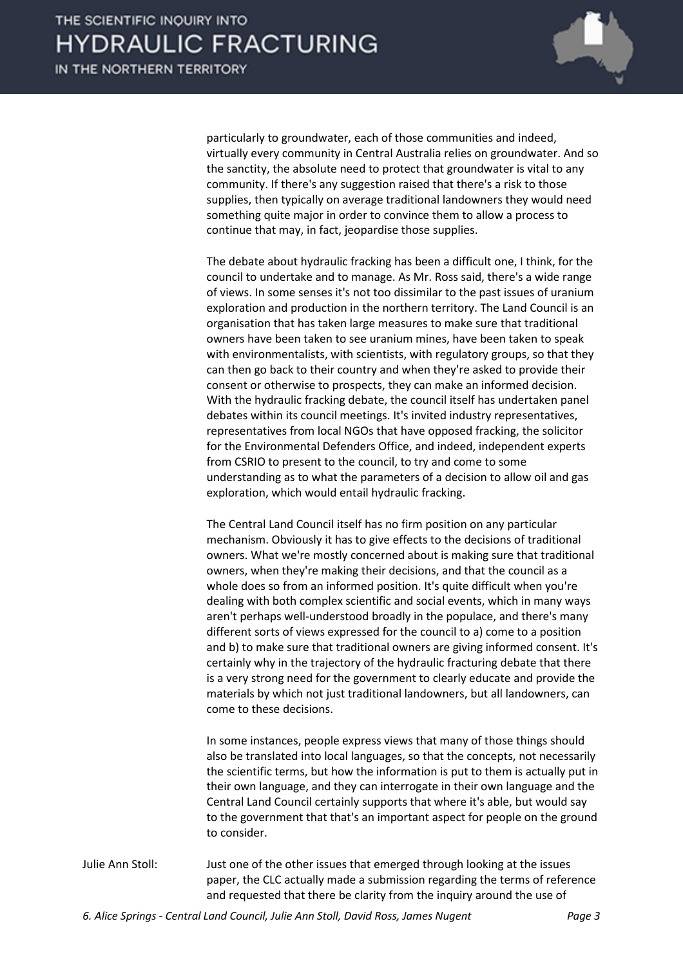

particularly to groundwater, each of those communities and indeed, virtually every community in Central Australia relies on groundwater. And so the sanctity, the absolute need to protect that groundwater is vital to any community. If there's any suggestion raised that there's a risk to those supplies, then typically on average traditional landowners they would need something quite major in order to convince them to allow a process to continue that may, in fact, jeopardise those supplies.

The debate about hydraulic fracking has been a difficult one, I think, for the council to undertake and to manage. As Mr. Ross said, there's a wide range of views. In some senses it's not too dissimilar to the past issues of uranium exploration and production in the northern territory. The Land Council is an organisation that has taken large measures to make sure that traditional owners have been taken to see uranium mines, have been taken to speak with environmentalists, with scientists, with regulatory groups, so that they can then go back to their country and when they're asked to provide their consent or otherwise to prospects, they can make an informed decision. With the hydraulic fracking debate, the council itself has undertaken panel debates within its council meetings. It's invited industry representatives, representatives from local NGOs that have opposed fracking, the solicitor for the Environmental Defenders Office, and indeed, independent experts from CSRIO to present to the council, to try and come to some understanding as to what the parameters of a decision to allow oil and gas exploration, which would entail hydraulic fracking.

The Central Land Council itself has no firm position on any particular mechanism. Obviously it has to give effects to the decisions of traditional owners. What we're mostly concerned about is making sure that traditional owners, when they're making their decisions, and that the council as a whole does so from an informed position. It's quite difficult when you're dealing with both complex scientific and social events, which in many ways aren't perhaps well-understood broadly in the populace, and there's many different sorts of views expressed for the council to a) come to a position and b) to make sure that traditional owners are giving informed consent. It's certainly why in the trajectory of the hydraulic fracturing debate that there is a very strong need for the government to clearly educate and provide the materials by which not just traditional landowners, but all landowners, can come to these decisions.

In some instances, people express views that many of those things should also be translated into local languages, so that the concepts, not necessarily the scientific terms, but how the information is put to them is actually put in their own language, and they can interrogate in their own language and the Central Land Council certainly supports that where it's able, but would say to the government that that's an important aspect for people on the ground to consider.

Julie Ann Stoll: Just one of the other issues that emerged through looking at the issues paper, the CLC actually made a submission regarding the terms of reference and requested that there be clarity from the inquiry around the use of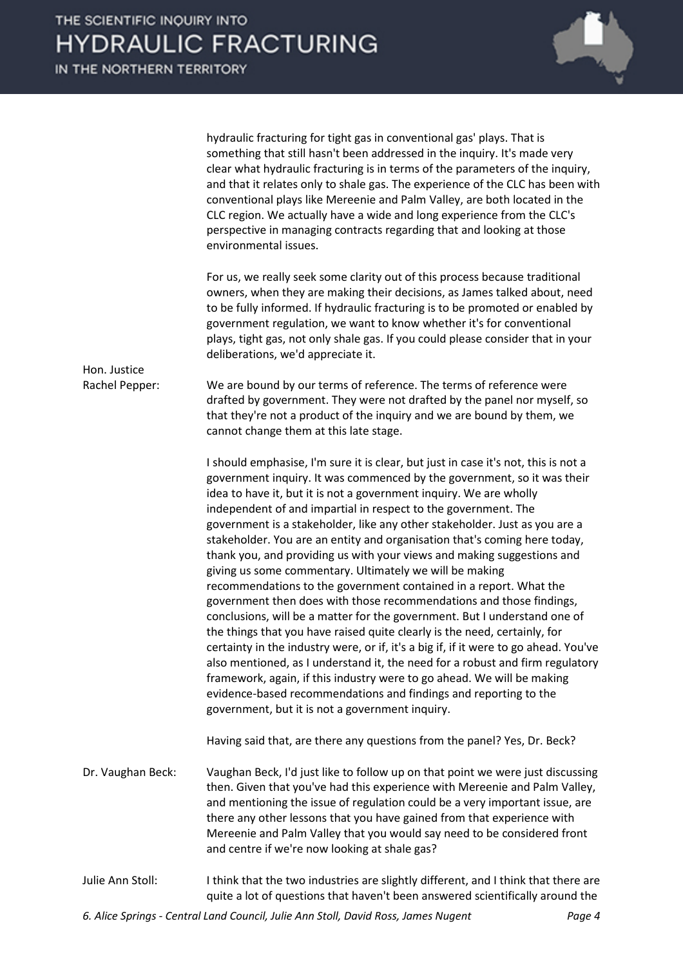hydraulic fracturing for tight gas in conventional gas' plays. That is something that still hasn't been addressed in the inquiry. It's made very clear what hydraulic fracturing is in terms of the parameters of the inquiry, and that it relates only to shale gas. The experience of the CLC has been with conventional plays like Mereenie and Palm Valley, are both located in the CLC region. We actually have a wide and long experience from the CLC's perspective in managing contracts regarding that and looking at those environmental issues. For us, we really seek some clarity out of this process because traditional owners, when they are making their decisions, as James talked about, need to be fully informed. If hydraulic fracturing is to be promoted or enabled by government regulation, we want to know whether it's for conventional plays, tight gas, not only shale gas. If you could please consider that in your deliberations, we'd appreciate it. Hon. Justice Rachel Pepper: We are bound by our terms of reference. The terms of reference were drafted by government. They were not drafted by the panel nor myself, so that they're not a product of the inquiry and we are bound by them, we cannot change them at this late stage. I should emphasise, I'm sure it is clear, but just in case it's not, this is not a government inquiry. It was commenced by the government, so it was their idea to have it, but it is not a government inquiry. We are wholly independent of and impartial in respect to the government. The government is a stakeholder, like any other stakeholder. Just as you are a stakeholder. You are an entity and organisation that's coming here today, thank you, and providing us with your views and making suggestions and giving us some commentary. Ultimately we will be making recommendations to the government contained in a report. What the government then does with those recommendations and those findings, conclusions, will be a matter for the government. But I understand one of the things that you have raised quite clearly is the need, certainly, for certainty in the industry were, or if, it's a big if, if it were to go ahead. You've also mentioned, as I understand it, the need for a robust and firm regulatory framework, again, if this industry were to go ahead. We will be making evidence-based recommendations and findings and reporting to the government, but it is not a government inquiry. Having said that, are there any questions from the panel? Yes, Dr. Beck? Dr. Vaughan Beck: Vaughan Beck, I'd just like to follow up on that point we were just discussing then. Given that you've had this experience with Mereenie and Palm Valley, and mentioning the issue of regulation could be a very important issue, are there any other lessons that you have gained from that experience with Mereenie and Palm Valley that you would say need to be considered front and centre if we're now looking at shale gas? Julie Ann Stoll: I think that the two industries are slightly different, and I think that there are

quite a lot of questions that haven't been answered scientifically around the

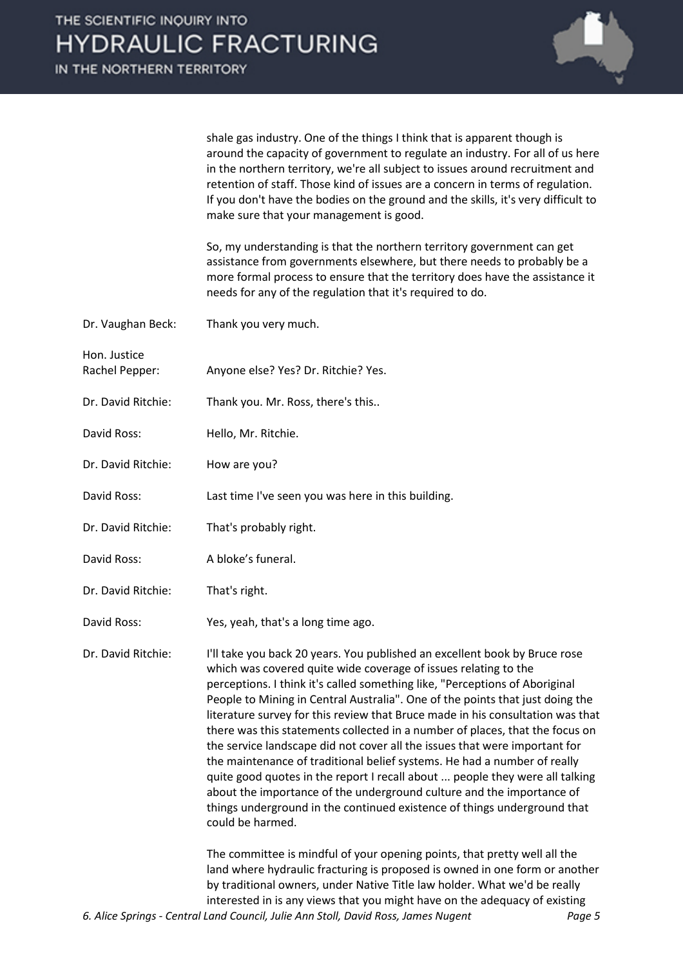

shale gas industry. One of the things I think that is apparent though is around the capacity of government to regulate an industry. For all of us here in the northern territory, we're all subject to issues around recruitment and retention of staff. Those kind of issues are a concern in terms of regulation. If you don't have the bodies on the ground and the skills, it's very difficult to make sure that your management is good.

So, my understanding is that the northern territory government can get assistance from governments elsewhere, but there needs to probably be a more formal process to ensure that the territory does have the assistance it needs for any of the regulation that it's required to do.

| Dr. Vaughan Beck:              | Thank you very much.                                                                                                                                                                                                                                                                                                                                                                                                                                                                                                                                                                                                                                                                                                                                                                                                                                                                               |
|--------------------------------|----------------------------------------------------------------------------------------------------------------------------------------------------------------------------------------------------------------------------------------------------------------------------------------------------------------------------------------------------------------------------------------------------------------------------------------------------------------------------------------------------------------------------------------------------------------------------------------------------------------------------------------------------------------------------------------------------------------------------------------------------------------------------------------------------------------------------------------------------------------------------------------------------|
| Hon. Justice<br>Rachel Pepper: | Anyone else? Yes? Dr. Ritchie? Yes.                                                                                                                                                                                                                                                                                                                                                                                                                                                                                                                                                                                                                                                                                                                                                                                                                                                                |
| Dr. David Ritchie:             | Thank you. Mr. Ross, there's this                                                                                                                                                                                                                                                                                                                                                                                                                                                                                                                                                                                                                                                                                                                                                                                                                                                                  |
| David Ross:                    | Hello, Mr. Ritchie.                                                                                                                                                                                                                                                                                                                                                                                                                                                                                                                                                                                                                                                                                                                                                                                                                                                                                |
| Dr. David Ritchie:             | How are you?                                                                                                                                                                                                                                                                                                                                                                                                                                                                                                                                                                                                                                                                                                                                                                                                                                                                                       |
| David Ross:                    | Last time I've seen you was here in this building.                                                                                                                                                                                                                                                                                                                                                                                                                                                                                                                                                                                                                                                                                                                                                                                                                                                 |
| Dr. David Ritchie:             | That's probably right.                                                                                                                                                                                                                                                                                                                                                                                                                                                                                                                                                                                                                                                                                                                                                                                                                                                                             |
| David Ross:                    | A bloke's funeral.                                                                                                                                                                                                                                                                                                                                                                                                                                                                                                                                                                                                                                                                                                                                                                                                                                                                                 |
| Dr. David Ritchie:             | That's right.                                                                                                                                                                                                                                                                                                                                                                                                                                                                                                                                                                                                                                                                                                                                                                                                                                                                                      |
| David Ross:                    | Yes, yeah, that's a long time ago.                                                                                                                                                                                                                                                                                                                                                                                                                                                                                                                                                                                                                                                                                                                                                                                                                                                                 |
| Dr. David Ritchie:             | I'll take you back 20 years. You published an excellent book by Bruce rose<br>which was covered quite wide coverage of issues relating to the<br>perceptions. I think it's called something like, "Perceptions of Aboriginal<br>People to Mining in Central Australia". One of the points that just doing the<br>literature survey for this review that Bruce made in his consultation was that<br>there was this statements collected in a number of places, that the focus on<br>the service landscape did not cover all the issues that were important for<br>the maintenance of traditional belief systems. He had a number of really<br>quite good quotes in the report I recall about  people they were all talking<br>about the importance of the underground culture and the importance of<br>things underground in the continued existence of things underground that<br>could be harmed. |
|                                | The committee is mindful of your opening points, that pretty well all the<br>land where hydraulic fracturing is proposed is owned in one form or another<br>by traditional owners, under Native Title law holder. What we'd be really<br>interested in is any views that you might have on the adequacy of existing                                                                                                                                                                                                                                                                                                                                                                                                                                                                                                                                                                                |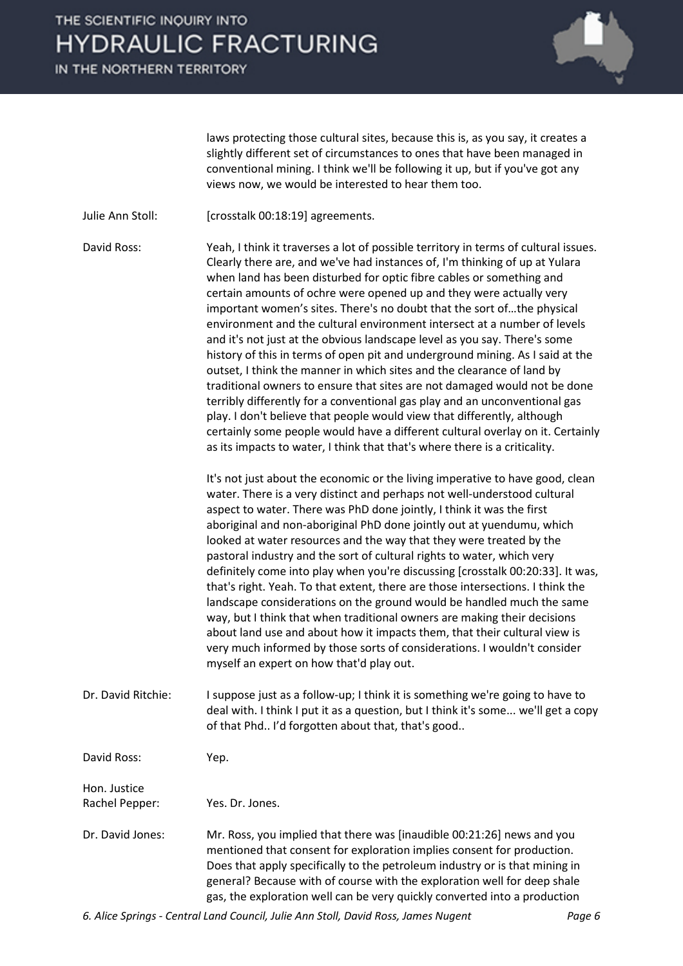IN THE NORTHERN TERRITORY



laws protecting those cultural sites, because this is, as you say, it creates a slightly different set of circumstances to ones that have been managed in conventional mining. I think we'll be following it up, but if you've got any views now, we would be interested to hear them too.

Julie Ann Stoll: [crosstalk 00:18:19] agreements.

David Ross: Yeah, I think it traverses a lot of possible territory in terms of cultural issues. Clearly there are, and we've had instances of, I'm thinking of up at Yulara when land has been disturbed for optic fibre cables or something and certain amounts of ochre were opened up and they were actually very important women's sites. There's no doubt that the sort of…the physical environment and the cultural environment intersect at a number of levels and it's not just at the obvious landscape level as you say. There's some history of this in terms of open pit and underground mining. As I said at the outset, I think the manner in which sites and the clearance of land by traditional owners to ensure that sites are not damaged would not be done terribly differently for a conventional gas play and an unconventional gas play. I don't believe that people would view that differently, although certainly some people would have a different cultural overlay on it. Certainly as its impacts to water, I think that that's where there is a criticality.

> It's not just about the economic or the living imperative to have good, clean water. There is a very distinct and perhaps not well-understood cultural aspect to water. There was PhD done jointly, I think it was the first aboriginal and non-aboriginal PhD done jointly out at yuendumu, which looked at water resources and the way that they were treated by the pastoral industry and the sort of cultural rights to water, which very definitely come into play when you're discussing [crosstalk 00:20:33]. It was, that's right. Yeah. To that extent, there are those intersections. I think the landscape considerations on the ground would be handled much the same way, but I think that when traditional owners are making their decisions about land use and about how it impacts them, that their cultural view is very much informed by those sorts of considerations. I wouldn't consider myself an expert on how that'd play out.

Dr. David Ritchie: I suppose just as a follow-up; I think it is something we're going to have to deal with. I think I put it as a question, but I think it's some... we'll get a copy of that Phd.. I'd forgotten about that, that's good..

David Ross: Yep.

Hon. Justice Rachel Pepper: Yes. Dr. Jones.

Dr. David Jones: Mr. Ross, you implied that there was [inaudible 00:21:26] news and you mentioned that consent for exploration implies consent for production. Does that apply specifically to the petroleum industry or is that mining in general? Because with of course with the exploration well for deep shale gas, the exploration well can be very quickly converted into a production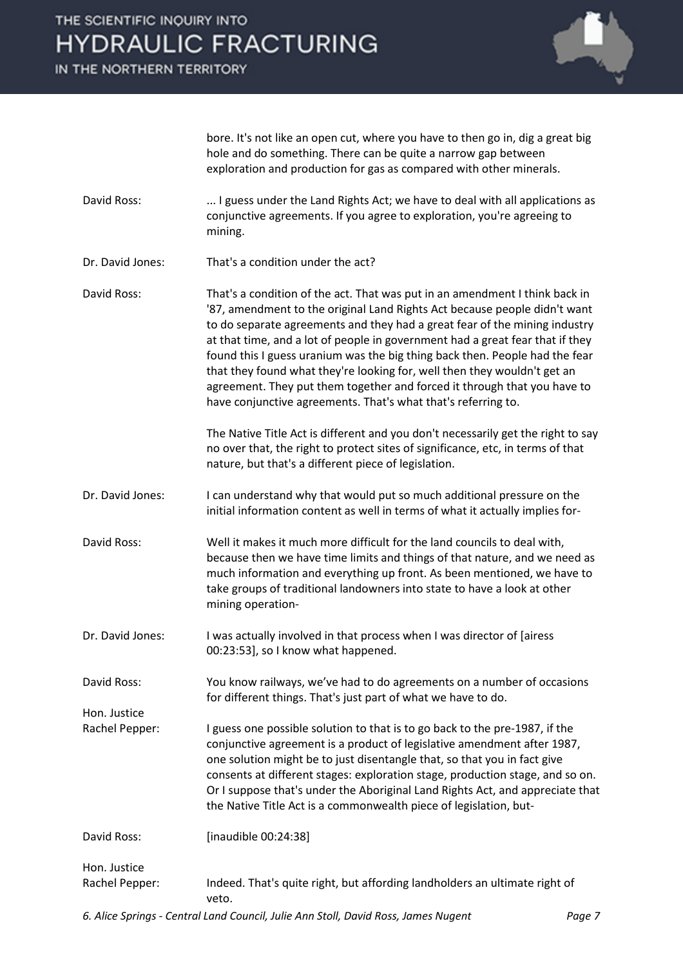IN THE NORTHERN TERRITORY

Hon. Justice



bore. It's not like an open cut, where you have to then go in, dig a great big hole and do something. There can be quite a narrow gap between exploration and production for gas as compared with other minerals.

- David Ross: .... I guess under the Land Rights Act; we have to deal with all applications as conjunctive agreements. If you agree to exploration, you're agreeing to mining.
- Dr. David Jones: That's a condition under the act?
- David Ross: That's a condition of the act. That was put in an amendment I think back in '87, amendment to the original Land Rights Act because people didn't want to do separate agreements and they had a great fear of the mining industry at that time, and a lot of people in government had a great fear that if they found this I guess uranium was the big thing back then. People had the fear that they found what they're looking for, well then they wouldn't get an agreement. They put them together and forced it through that you have to have conjunctive agreements. That's what that's referring to.

The Native Title Act is different and you don't necessarily get the right to say no over that, the right to protect sites of significance, etc, in terms of that nature, but that's a different piece of legislation.

- Dr. David Jones: I can understand why that would put so much additional pressure on the initial information content as well in terms of what it actually implies for-
- David Ross: Well it makes it much more difficult for the land councils to deal with, because then we have time limits and things of that nature, and we need as much information and everything up front. As been mentioned, we have to take groups of traditional landowners into state to have a look at other mining operation-
- Dr. David Jones: I was actually involved in that process when I was director of [airess 00:23:53], so I know what happened.

David Ross: You know railways, we've had to do agreements on a number of occasions for different things. That's just part of what we have to do.

- Rachel Pepper: I guess one possible solution to that is to go back to the pre-1987, if the conjunctive agreement is a product of legislative amendment after 1987, one solution might be to just disentangle that, so that you in fact give consents at different stages: exploration stage, production stage, and so on. Or I suppose that's under the Aboriginal Land Rights Act, and appreciate that the Native Title Act is a commonwealth piece of legislation, but-
- David Ross: [inaudible 00:24:38] Hon. Justice Rachel Pepper: Indeed. That's quite right, but affording landholders an ultimate right of veto.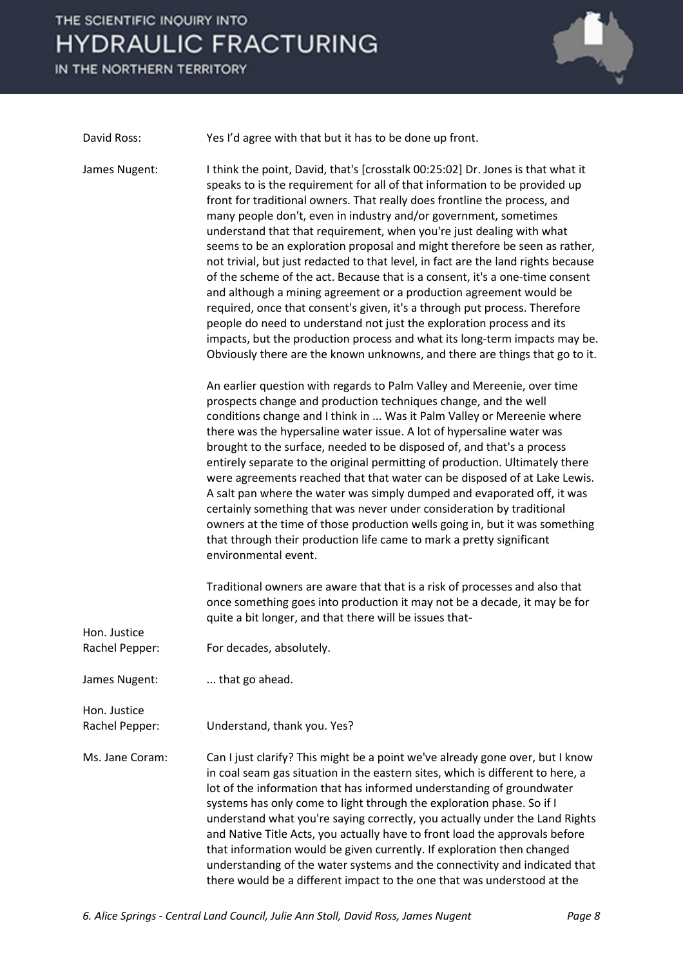IN THE NORTHERN TERRITORY



David Ross: Yes I'd agree with that but it has to be done up front.

James Nugent: I think the point, David, that's [crosstalk 00:25:02] Dr. Jones is that what it speaks to is the requirement for all of that information to be provided up front for traditional owners. That really does frontline the process, and many people don't, even in industry and/or government, sometimes understand that that requirement, when you're just dealing with what seems to be an exploration proposal and might therefore be seen as rather, not trivial, but just redacted to that level, in fact are the land rights because of the scheme of the act. Because that is a consent, it's a one-time consent and although a mining agreement or a production agreement would be required, once that consent's given, it's a through put process. Therefore people do need to understand not just the exploration process and its impacts, but the production process and what its long-term impacts may be. Obviously there are the known unknowns, and there are things that go to it.

> An earlier question with regards to Palm Valley and Mereenie, over time prospects change and production techniques change, and the well conditions change and I think in ... Was it Palm Valley or Mereenie where there was the hypersaline water issue. A lot of hypersaline water was brought to the surface, needed to be disposed of, and that's a process entirely separate to the original permitting of production. Ultimately there were agreements reached that that water can be disposed of at Lake Lewis. A salt pan where the water was simply dumped and evaporated off, it was certainly something that was never under consideration by traditional owners at the time of those production wells going in, but it was something that through their production life came to mark a pretty significant environmental event.

Traditional owners are aware that that is a risk of processes and also that once something goes into production it may not be a decade, it may be for quite a bit longer, and that there will be issues that-

| Hon. Justice<br>Rachel Pepper: | For decades, absolutely.                                                                                                                                                                                                                                                                                                                                                                                                                                                                                                                                                                                                                                                                                           |
|--------------------------------|--------------------------------------------------------------------------------------------------------------------------------------------------------------------------------------------------------------------------------------------------------------------------------------------------------------------------------------------------------------------------------------------------------------------------------------------------------------------------------------------------------------------------------------------------------------------------------------------------------------------------------------------------------------------------------------------------------------------|
| James Nugent:                  | that go ahead.                                                                                                                                                                                                                                                                                                                                                                                                                                                                                                                                                                                                                                                                                                     |
| Hon. Justice<br>Rachel Pepper: | Understand, thank you. Yes?                                                                                                                                                                                                                                                                                                                                                                                                                                                                                                                                                                                                                                                                                        |
| Ms. Jane Coram:                | Can I just clarify? This might be a point we've already gone over, but I know<br>in coal seam gas situation in the eastern sites, which is different to here, a<br>lot of the information that has informed understanding of groundwater<br>systems has only come to light through the exploration phase. So if I<br>understand what you're saying correctly, you actually under the Land Rights<br>and Native Title Acts, you actually have to front load the approvals before<br>that information would be given currently. If exploration then changed<br>understanding of the water systems and the connectivity and indicated that<br>there would be a different impact to the one that was understood at the |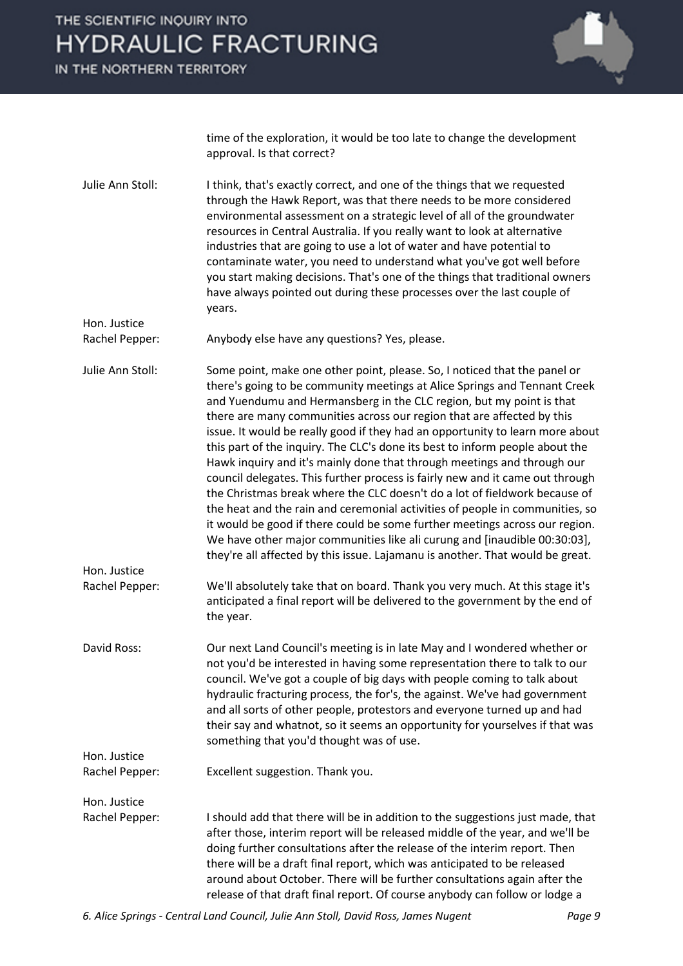IN THE NORTHERN TERRITORY

Hon. Justice



time of the exploration, it would be too late to change the development approval. Is that correct?

Julie Ann Stoll: I think, that's exactly correct, and one of the things that we requested through the Hawk Report, was that there needs to be more considered environmental assessment on a strategic level of all of the groundwater resources in Central Australia. If you really want to look at alternative industries that are going to use a lot of water and have potential to contaminate water, you need to understand what you've got well before you start making decisions. That's one of the things that traditional owners have always pointed out during these processes over the last couple of years.

Rachel Pepper: Anybody else have any questions? Yes, please.

Julie Ann Stoll: Some point, make one other point, please. So, I noticed that the panel or there's going to be community meetings at Alice Springs and Tennant Creek and Yuendumu and Hermansberg in the CLC region, but my point is that there are many communities across our region that are affected by this issue. It would be really good if they had an opportunity to learn more about this part of the inquiry. The CLC's done its best to inform people about the Hawk inquiry and it's mainly done that through meetings and through our council delegates. This further process is fairly new and it came out through the Christmas break where the CLC doesn't do a lot of fieldwork because of the heat and the rain and ceremonial activities of people in communities, so it would be good if there could be some further meetings across our region. We have other major communities like ali curung and [inaudible 00:30:03], they're all affected by this issue. Lajamanu is another. That would be great. Hon. Justice

Rachel Pepper: We'll absolutely take that on board. Thank you very much. At this stage it's anticipated a final report will be delivered to the government by the end of the year.

David Ross: Our next Land Council's meeting is in late May and I wondered whether or not you'd be interested in having some representation there to talk to our council. We've got a couple of big days with people coming to talk about hydraulic fracturing process, the for's, the against. We've had government and all sorts of other people, protestors and everyone turned up and had their say and whatnot, so it seems an opportunity for yourselves if that was something that you'd thought was of use.

Hon. Justice

Rachel Pepper: Excellent suggestion. Thank you.

Hon. Justice Rachel Pepper: I should add that there will be in addition to the suggestions just made, that after those, interim report will be released middle of the year, and we'll be doing further consultations after the release of the interim report. Then there will be a draft final report, which was anticipated to be released around about October. There will be further consultations again after the release of that draft final report. Of course anybody can follow or lodge a